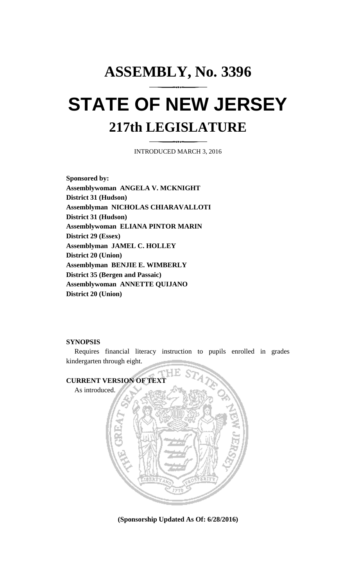## **ASSEMBLY, No. 3396 STATE OF NEW JERSEY 217th LEGISLATURE**

INTRODUCED MARCH 3, 2016

**Sponsored by: Assemblywoman ANGELA V. MCKNIGHT District 31 (Hudson) Assemblyman NICHOLAS CHIARAVALLOTI District 31 (Hudson) Assemblywoman ELIANA PINTOR MARIN District 29 (Essex) Assemblyman JAMEL C. HOLLEY District 20 (Union) Assemblyman BENJIE E. WIMBERLY District 35 (Bergen and Passaic) Assemblywoman ANNETTE QUIJANO District 20 (Union)**

## **SYNOPSIS**

Requires financial literacy instruction to pupils enrolled in grades kindergarten through eight.



**(Sponsorship Updated As Of: 6/28/2016)**